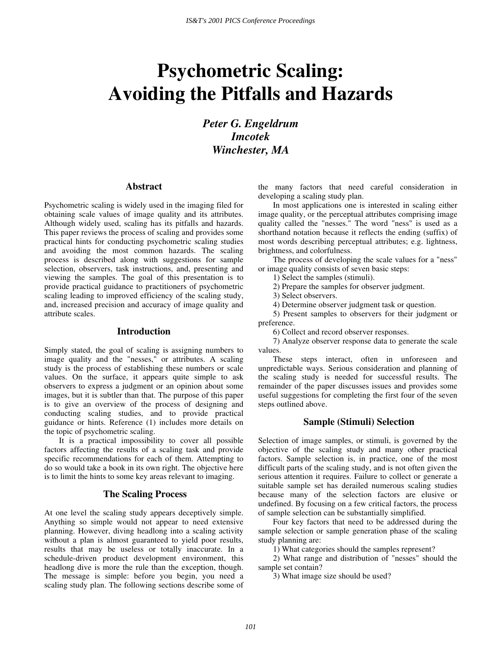# **Psychometric Scaling: Avoiding the Pitfalls and Hazards**

*Peter G. Engeldrum Imcotek Winchester, MA* 

## **Abstract**

Psychometric scaling is widely used in the imaging filed for obtaining scale values of image quality and its attributes. Although widely used, scaling has its pitfalls and hazards. This paper reviews the process of scaling and provides some practical hints for conducting psychometric scaling studies and avoiding the most common hazards. The scaling process is described along with suggestions for sample selection, observers, task instructions, and, presenting and viewing the samples. The goal of this presentation is to provide practical guidance to practitioners of psychometric scaling leading to improved efficiency of the scaling study, and, increased precision and accuracy of image quality and attribute scales.

## **Introduction**

Simply stated, the goal of scaling is assigning numbers to image quality and the "nesses," or attributes. A scaling study is the process of establishing these numbers or scale values. On the surface, it appears quite simple to ask observers to express a judgment or an opinion about some images, but it is subtler than that. The purpose of this paper is to give an overview of the process of designing and conducting scaling studies, and to provide practical guidance or hints. Reference (1) includes more details on the topic of psychometric scaling.

 It is a practical impossibility to cover all possible factors affecting the results of a scaling task and provide specific recommendations for each of them. Attempting to do so would take a book in its own right. The objective here is to limit the hints to some key areas relevant to imaging.

## **The Scaling Process**

At one level the scaling study appears deceptively simple. Anything so simple would not appear to need extensive planning. However, diving headlong into a scaling activity without a plan is almost guaranteed to yield poor results, results that may be useless or totally inaccurate. In a schedule-driven product development environment, this headlong dive is more the rule than the exception, though. The message is simple: before you begin, you need a scaling study plan. The following sections describe some of

the many factors that need careful consideration in developing a scaling study plan.

 In most applications one is interested in scaling either image quality, or the perceptual attributes comprising image quality called the "nesses." The word "ness" is used as a shorthand notation because it reflects the ending (suffix) of most words describing perceptual attributes; e.g. lightness, brightness, and colorfulness.

 The process of developing the scale values for a "ness" or image quality consists of seven basic steps:

1) Select the samples (stimuli).

2) Prepare the samples for observer judgment.

3) Select observers.

4) Determine observer judgment task or question.

5) Present samples to observers for their judgment or preference.

6) Collect and record observer responses.

7) Analyze observer response data to generate the scale values.

These steps interact, often in unforeseen and unpredictable ways. Serious consideration and planning of the scaling study is needed for successful results. The remainder of the paper discusses issues and provides some useful suggestions for completing the first four of the seven steps outlined above.

## **Sample (Stimuli) Selection**

Selection of image samples, or stimuli, is governed by the objective of the scaling study and many other practical factors. Sample selection is, in practice, one of the most difficult parts of the scaling study, and is not often given the serious attention it requires. Failure to collect or generate a suitable sample set has derailed numerous scaling studies because many of the selection factors are elusive or undefined. By focusing on a few critical factors, the process of sample selection can be substantially simplified.

Four key factors that need to be addressed during the sample selection or sample generation phase of the scaling study planning are:

1) What categories should the samples represent?

2) What range and distribution of "nesses" should the sample set contain?

3) What image size should be used?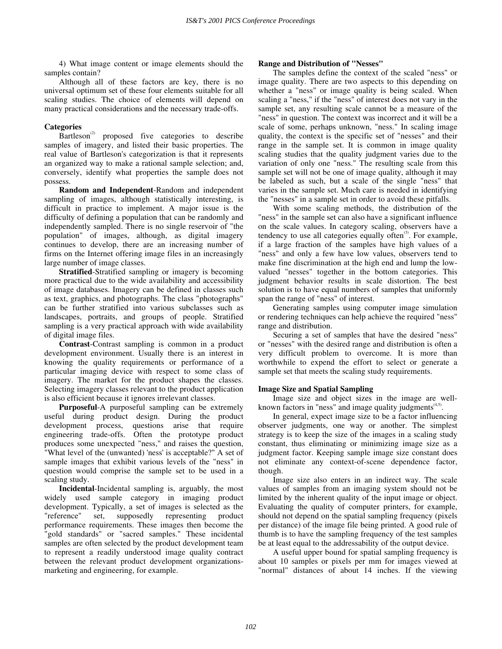4) What image content or image elements should the samples contain?

Although all of these factors are key, there is no universal optimum set of these four elements suitable for all scaling studies. The choice of elements will depend on many practical considerations and the necessary trade-offs.

## **Categories**

 $Bartleson<sup>(2)</sup>$  proposed five categories to describe samples of imagery, and listed their basic properties. The real value of Bartleson's categorization is that it represents an organized way to make a rational sample selection; and, conversely, identify what properties the sample does not possess.

**Random and Independent**-Random and independent sampling of images, although statistically interesting, is difficult in practice to implement. A major issue is the difficulty of defining a population that can be randomly and independently sampled. There is no single reservoir of "the population" of images, although, as digital imagery continues to develop, there are an increasing number of firms on the Internet offering image files in an increasingly large number of image classes.

 **Stratified**-Stratified sampling or imagery is becoming more practical due to the wide availability and accessibility of image databases. Imagery can be defined in classes such as text, graphics, and photographs. The class "photographs" can be further stratified into various subclasses such as landscapes, portraits, and groups of people. Stratified sampling is a very practical approach with wide availability of digital image files.

**Contrast**-Contrast sampling is common in a product development environment. Usually there is an interest in knowing the quality requirements or performance of a particular imaging device with respect to some class of imagery. The market for the product shapes the classes. Selecting imagery classes relevant to the product application is also efficient because it ignores irrelevant classes.

**Purposeful**-A purposeful sampling can be extremely useful during product design. During the product development process, questions arise that require engineering trade-offs. Often the prototype product produces some unexpected "ness," and raises the question, "What level of the (unwanted) 'ness' is acceptable?" A set of sample images that exhibit various levels of the "ness" in question would comprise the sample set to be used in a scaling study.

**Incidental**-Incidental sampling is, arguably, the most widely used sample category in imaging product development. Typically, a set of images is selected as the "reference" set, supposedly representing product performance requirements. These images then become the "gold standards" or "sacred samples." These incidental samples are often selected by the product development team to represent a readily understood image quality contract between the relevant product development organizationsmarketing and engineering, for example.

## **Range and Distribution of "Nesses"**

The samples define the context of the scaled "ness" or image quality. There are two aspects to this depending on whether a "ness" or image quality is being scaled. When scaling a "ness," if the "ness" of interest does not vary in the sample set, any resulting scale cannot be a measure of the "ness" in question. The context was incorrect and it will be a scale of some, perhaps unknown, "ness." In scaling image quality, the context is the specific set of "nesses" and their range in the sample set. It is common in image quality scaling studies that the quality judgment varies due to the variation of only one "ness." The resulting scale from this sample set will not be one of image quality, although it may be labeled as such, but a scale of the single "ness" that varies in the sample set. Much care is needed in identifying the "nesses" in a sample set in order to avoid these pitfalls.

 With some scaling methods, the distribution of the "ness" in the sample set can also have a significant influence on the scale values. In category scaling, observers have a tendency to use all categories equally often $(3)$ . For example, if a large fraction of the samples have high values of a "ness" and only a few have low values, observers tend to make fine discrimination at the high end and lump the lowvalued "nesses" together in the bottom categories. This judgment behavior results in scale distortion. The best solution is to have equal numbers of samples that uniformly span the range of "ness" of interest.

 Generating samples using computer image simulation or rendering techniques can help achieve the required "ness" range and distribution.

 Securing a set of samples that have the desired "ness" or "nesses" with the desired range and distribution is often a very difficult problem to overcome. It is more than worthwhile to expend the effort to select or generate a sample set that meets the scaling study requirements.

## **Image Size and Spatial Sampling**

Image size and object sizes in the image are wellknown factors in "ness" and image quality judgments $(4.5)$ .

 In general, expect image size to be a factor influencing observer judgments, one way or another. The simplest strategy is to keep the size of the images in a scaling study constant, thus eliminating or minimizing image size as a judgment factor. Keeping sample image size constant does not eliminate any context-of-scene dependence factor, though.

 Image size also enters in an indirect way. The scale values of samples from an imaging system should not be limited by the inherent quality of the input image or object. Evaluating the quality of computer printers, for example, should not depend on the spatial sampling frequency (pixels per distance) of the image file being printed. A good rule of thumb is to have the sampling frequency of the test samples be at least equal to the addressability of the output device.

 A useful upper bound for spatial sampling frequency is about 10 samples or pixels per mm for images viewed at "normal" distances of about 14 inches. If the viewing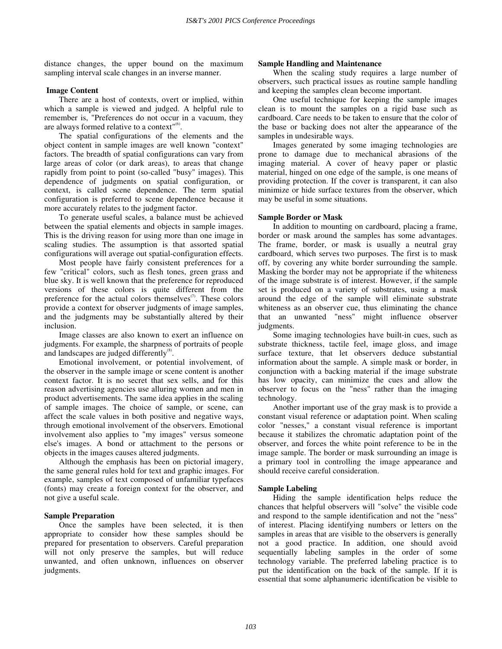distance changes, the upper bound on the maximum sampling interval scale changes in an inverse manner.

## **Image Content**

There are a host of contexts, overt or implied, within which a sample is viewed and judged. A helpful rule to remember is, "Preferences do not occur in a vacuum, they are always formed relative to a context" $<sup>(6)</sup>$ .</sup>

The spatial configurations of the elements and the object content in sample images are well known "context" factors. The breadth of spatial configurations can vary from large areas of color (or dark areas), to areas that change rapidly from point to point (so-called "busy" images). This dependence of judgments on spatial configuration, or context, is called scene dependence. The term spatial configuration is preferred to scene dependence because it more accurately relates to the judgment factor.

 To generate useful scales, a balance must be achieved between the spatial elements and objects in sample images. This is the driving reason for using more than one image in scaling studies. The assumption is that assorted spatial configurations will average out spatial-configuration effects.

 Most people have fairly consistent preferences for a few "critical" colors, such as flesh tones, green grass and blue sky. It is well known that the preference for reproduced versions of these colors is quite different from the preference for the actual colors themselves $\sigma$ . These colors provide a context for observer judgments of image samples, and the judgments may be substantially altered by their inclusion.

Image classes are also known to exert an influence on judgments. For example, the sharpness of portraits of people and landscapes are judged differently $^{(8)}$ .

 Emotional involvement, or potential involvement, of the observer in the sample image or scene content is another context factor. It is no secret that sex sells, and for this reason advertising agencies use alluring women and men in product advertisements. The same idea applies in the scaling of sample images. The choice of sample, or scene, can affect the scale values in both positive and negative ways, through emotional involvement of the observers. Emotional involvement also applies to "my images" versus someone else's images. A bond or attachment to the persons or objects in the images causes altered judgments.

 Although the emphasis has been on pictorial imagery, the same general rules hold for text and graphic images. For example, samples of text composed of unfamiliar typefaces (fonts) may create a foreign context for the observer, and not give a useful scale.

## **Sample Preparation**

Once the samples have been selected, it is then appropriate to consider how these samples should be prepared for presentation to observers. Careful preparation will not only preserve the samples, but will reduce unwanted, and often unknown, influences on observer judgments.

#### **Sample Handling and Maintenance**

When the scaling study requires a large number of observers, such practical issues as routine sample handling and keeping the samples clean become important.

 One useful technique for keeping the sample images clean is to mount the samples on a rigid base such as cardboard. Care needs to be taken to ensure that the color of the base or backing does not alter the appearance of the samples in undesirable ways.

 Images generated by some imaging technologies are prone to damage due to mechanical abrasions of the imaging material. A cover of heavy paper or plastic material, hinged on one edge of the sample, is one means of providing protection. If the cover is transparent, it can also minimize or hide surface textures from the observer, which may be useful in some situations.

#### **Sample Border or Mask**

In addition to mounting on cardboard, placing a frame, border or mask around the samples has some advantages. The frame, border, or mask is usually a neutral gray cardboard, which serves two purposes. The first is to mask off, by covering any white border surrounding the sample. Masking the border may not be appropriate if the whiteness of the image substrate is of interest. However, if the sample set is produced on a variety of substrates, using a mask around the edge of the sample will eliminate substrate whiteness as an observer cue, thus eliminating the chance that an unwanted "ness" might influence observer judgments.

 Some imaging technologies have built-in cues, such as substrate thickness, tactile feel, image gloss, and image surface texture, that let observers deduce substantial information about the sample. A simple mask or border, in conjunction with a backing material if the image substrate has low opacity, can minimize the cues and allow the observer to focus on the "ness" rather than the imaging technology.

 Another important use of the gray mask is to provide a constant visual reference or adaptation point. When scaling color "nesses," a constant visual reference is important because it stabilizes the chromatic adaptation point of the observer, and forces the white point reference to be in the image sample. The border or mask surrounding an image is a primary tool in controlling the image appearance and should receive careful consideration.

## **Sample Labeling**

 Hiding the sample identification helps reduce the chances that helpful observers will "solve" the visible code and respond to the sample identification and not the "ness" of interest. Placing identifying numbers or letters on the samples in areas that are visible to the observers is generally not a good practice. In addition, one should avoid sequentially labeling samples in the order of some technology variable. The preferred labeling practice is to put the identification on the back of the sample. If it is essential that some alphanumeric identification be visible to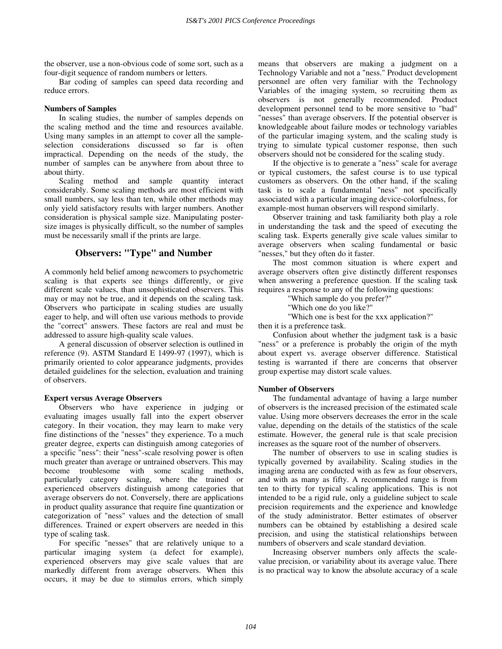the observer, use a non-obvious code of some sort, such as a four-digit sequence of random numbers or letters.

 Bar coding of samples can speed data recording and reduce errors.

## **Numbers of Samples**

In scaling studies, the number of samples depends on the scaling method and the time and resources available. Using many samples in an attempt to cover all the sampleselection considerations discussed so far is often impractical. Depending on the needs of the study, the number of samples can be anywhere from about three to about thirty.

 Scaling method and sample quantity interact considerably. Some scaling methods are most efficient with small numbers, say less than ten, while other methods may only yield satisfactory results with larger numbers. Another consideration is physical sample size. Manipulating postersize images is physically difficult, so the number of samples must be necessarily small if the prints are large.

# **Observers: "Type" and Number**

A commonly held belief among newcomers to psychometric scaling is that experts see things differently, or give different scale values, than unsophisticated observers. This may or may not be true, and it depends on the scaling task. Observers who participate in scaling studies are usually eager to help, and will often use various methods to provide the "correct" answers. These factors are real and must be addressed to assure high-quality scale values.

A general discussion of observer selection is outlined in reference (9). ASTM Standard E 1499-97 (1997), which is primarily oriented to color appearance judgments, provides detailed guidelines for the selection, evaluation and training of observers.

## **Expert versus Average Observers**

Observers who have experience in judging or evaluating images usually fall into the expert observer category. In their vocation, they may learn to make very fine distinctions of the "nesses" they experience. To a much greater degree, experts can distinguish among categories of a specific "ness": their "ness"-scale resolving power is often much greater than average or untrained observers. This may become troublesome with some scaling methods, particularly category scaling, where the trained or experienced observers distinguish among categories that average observers do not. Conversely, there are applications in product quality assurance that require fine quantization or categorization of "ness" values and the detection of small differences. Trained or expert observers are needed in this type of scaling task.

 For specific "nesses" that are relatively unique to a particular imaging system (a defect for example), experienced observers may give scale values that are markedly different from average observers. When this occurs, it may be due to stimulus errors, which simply means that observers are making a judgment on a Technology Variable and not a "ness." Product development personnel are often very familiar with the Technology Variables of the imaging system, so recruiting them as observers is not generally recommended. Product development personnel tend to be more sensitive to "bad" "nesses" than average observers. If the potential observer is knowledgeable about failure modes or technology variables of the particular imaging system, and the scaling study is trying to simulate typical customer response, then such observers should not be considered for the scaling study.

 If the objective is to generate a "ness" scale for average or typical customers, the safest course is to use typical customers as observers. On the other hand, if the scaling task is to scale a fundamental "ness" not specifically associated with a particular imaging device-colorfulness, for example-most human observers will respond similarly.

 Observer training and task familiarity both play a role in understanding the task and the speed of executing the scaling task. Experts generally give scale values similar to average observers when scaling fundamental or basic "nesses," but they often do it faster.

The most common situation is where expert and average observers often give distinctly different responses when answering a preference question. If the scaling task requires a response to any of the following questions:

"Which sample do you prefer?"

"Which one do you like?"

"Which one is best for the xxx application?"

then it is a preference task.

 Confusion about whether the judgment task is a basic "ness" or a preference is probably the origin of the myth about expert vs. average observer difference. Statistical testing is warranted if there are concerns that observer group expertise may distort scale values.

## **Number of Observers**

The fundamental advantage of having a large number of observers is the increased precision of the estimated scale value. Using more observers decreases the error in the scale value, depending on the details of the statistics of the scale estimate. However, the general rule is that scale precision increases as the square root of the number of observers.

 The number of observers to use in scaling studies is typically governed by availability. Scaling studies in the imaging arena are conducted with as few as four observers, and with as many as fifty. A recommended range is from ten to thirty for typical scaling applications. This is not intended to be a rigid rule, only a guideline subject to scale precision requirements and the experience and knowledge of the study administrator. Better estimates of observer numbers can be obtained by establishing a desired scale precision, and using the statistical relationships between numbers of observers and scale standard deviation.

 Increasing observer numbers only affects the scalevalue precision, or variability about its average value. There is no practical way to know the absolute accuracy of a scale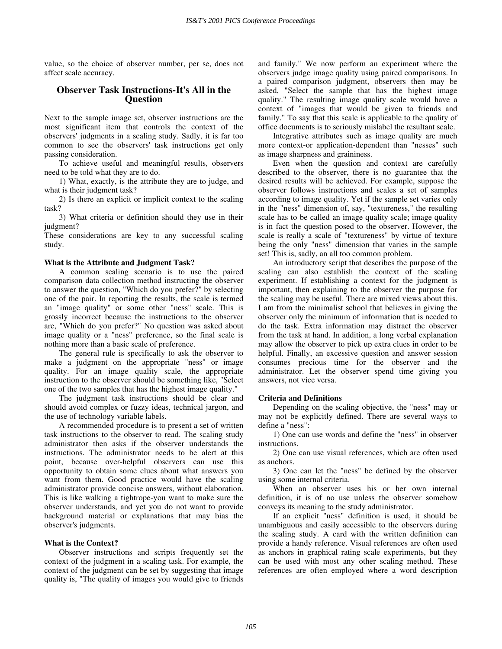value, so the choice of observer number, per se, does not affect scale accuracy.

## **Observer Task Instructions-It's All in the Question**

Next to the sample image set, observer instructions are the most significant item that controls the context of the observers' judgments in a scaling study. Sadly, it is far too common to see the observers' task instructions get only passing consideration.

To achieve useful and meaningful results, observers need to be told what they are to do.

1) What, exactly, is the attribute they are to judge, and what is their judgment task?

2) Is there an explicit or implicit context to the scaling task?

3) What criteria or definition should they use in their judgment?

These considerations are key to any successful scaling study.

## **What is the Attribute and Judgment Task?**

A common scaling scenario is to use the paired comparison data collection method instructing the observer to answer the question, "Which do you prefer?" by selecting one of the pair. In reporting the results, the scale is termed an "image quality" or some other "ness" scale. This is grossly incorrect because the instructions to the observer are, "Which do you prefer?" No question was asked about image quality or a "ness" preference, so the final scale is nothing more than a basic scale of preference.

 The general rule is specifically to ask the observer to make a judgment on the appropriate "ness" or image quality. For an image quality scale, the appropriate instruction to the observer should be something like, "Select one of the two samples that has the highest image quality."

 The judgment task instructions should be clear and should avoid complex or fuzzy ideas, technical jargon, and the use of technology variable labels.

 A recommended procedure is to present a set of written task instructions to the observer to read. The scaling study administrator then asks if the observer understands the instructions. The administrator needs to be alert at this point, because over-helpful observers can use this opportunity to obtain some clues about what answers you want from them. Good practice would have the scaling administrator provide concise answers, without elaboration. This is like walking a tightrope-you want to make sure the observer understands, and yet you do not want to provide background material or explanations that may bias the observer's judgments.

## **What is the Context?**

Observer instructions and scripts frequently set the context of the judgment in a scaling task. For example, the context of the judgment can be set by suggesting that image quality is, "The quality of images you would give to friends and family." We now perform an experiment where the observers judge image quality using paired comparisons. In a paired comparison judgment, observers then may be asked, "Select the sample that has the highest image quality." The resulting image quality scale would have a context of "images that would be given to friends and family." To say that this scale is applicable to the quality of office documents is to seriously mislabel the resultant scale.

 Integrative attributes such as image quality are much more context-or application-dependent than "nesses" such as image sharpness and graininess.

 Even when the question and context are carefully described to the observer, there is no guarantee that the desired results will be achieved. For example, suppose the observer follows instructions and scales a set of samples according to image quality. Yet if the sample set varies only in the "ness" dimension of, say, "textureness," the resulting scale has to be called an image quality scale; image quality is in fact the question posed to the observer. However, the scale is really a scale of "textureness" by virtue of texture being the only "ness" dimension that varies in the sample set! This is, sadly, an all too common problem.

 An introductory script that describes the purpose of the scaling can also establish the context of the scaling experiment. If establishing a context for the judgment is important, then explaining to the observer the purpose for the scaling may be useful. There are mixed views about this. I am from the minimalist school that believes in giving the observer only the minimum of information that is needed to do the task. Extra information may distract the observer from the task at hand. In addition, a long verbal explanation may allow the observer to pick up extra clues in order to be helpful. Finally, an excessive question and answer session consumes precious time for the observer and the administrator. Let the observer spend time giving you answers, not vice versa.

#### **Criteria and Definitions**

Depending on the scaling objective, the "ness" may or may not be explicitly defined. There are several ways to define a "ness":

1) One can use words and define the "ness" in observer instructions.

2) One can use visual references, which are often used as anchors.

3) One can let the "ness" be defined by the observer using some internal criteria.

When an observer uses his or her own internal definition, it is of no use unless the observer somehow conveys its meaning to the study administrator.

If an explicit "ness" definition is used, it should be unambiguous and easily accessible to the observers during the scaling study. A card with the written definition can provide a handy reference. Visual references are often used as anchors in graphical rating scale experiments, but they can be used with most any other scaling method. These references are often employed where a word description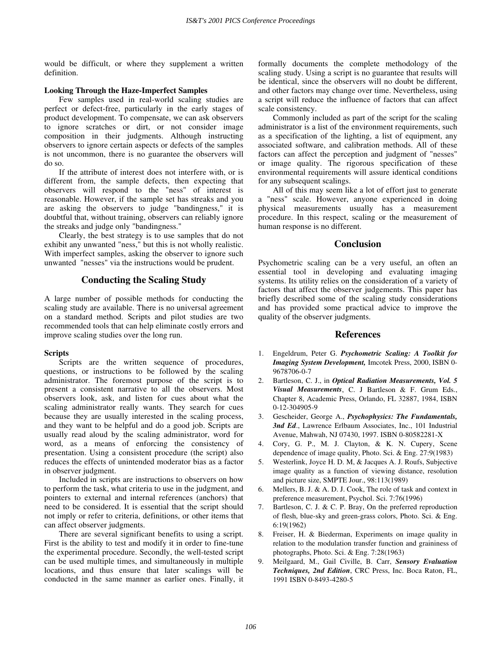would be difficult, or where they supplement a written definition.

## **Looking Through the Haze-Imperfect Samples**

Few samples used in real-world scaling studies are perfect or defect-free, particularly in the early stages of product development. To compensate, we can ask observers to ignore scratches or dirt, or not consider image composition in their judgments. Although instructing observers to ignore certain aspects or defects of the samples is not uncommon, there is no guarantee the observers will do so.

If the attribute of interest does not interfere with, or is different from, the sample defects, then expecting that observers will respond to the "ness" of interest is reasonable. However, if the sample set has streaks and you are asking the observers to judge "bandingness," it is doubtful that, without training, observers can reliably ignore the streaks and judge only "bandingness."

Clearly, the best strategy is to use samples that do not exhibit any unwanted "ness," but this is not wholly realistic. With imperfect samples, asking the observer to ignore such unwanted "nesses" via the instructions would be prudent.

## **Conducting the Scaling Study**

A large number of possible methods for conducting the scaling study are available. There is no universal agreement on a standard method. Scripts and pilot studies are two recommended tools that can help eliminate costly errors and improve scaling studies over the long run.

## **Scripts**

Scripts are the written sequence of procedures, questions, or instructions to be followed by the scaling administrator. The foremost purpose of the script is to present a consistent narrative to all the observers. Most observers look, ask, and listen for cues about what the scaling administrator really wants. They search for cues because they are usually interested in the scaling process, and they want to be helpful and do a good job. Scripts are usually read aloud by the scaling administrator, word for word, as a means of enforcing the consistency of presentation. Using a consistent procedure (the script) also reduces the effects of unintended moderator bias as a factor in observer judgment.

Included in scripts are instructions to observers on how to perform the task, what criteria to use in the judgment, and pointers to external and internal references (anchors) that need to be considered. It is essential that the script should not imply or refer to criteria, definitions, or other items that can affect observer judgments.

There are several significant benefits to using a script. First is the ability to test and modify it in order to fine-tune the experimental procedure. Secondly, the well-tested script can be used multiple times, and simultaneously in multiple locations, and thus ensure that later scalings will be conducted in the same manner as earlier ones. Finally, it formally documents the complete methodology of the scaling study. Using a script is no guarantee that results will be identical, since the observers will no doubt be different, and other factors may change over time. Nevertheless, using a script will reduce the influence of factors that can affect scale consistency.

Commonly included as part of the script for the scaling administrator is a list of the environment requirements, such as a specification of the lighting, a list of equipment, any associated software, and calibration methods. All of these factors can affect the perception and judgment of "nesses" or image quality. The rigorous specification of these environmental requirements will assure identical conditions for any subsequent scalings.

All of this may seem like a lot of effort just to generate a "ness" scale. However, anyone experienced in doing physical measurements usually has a measurement procedure. In this respect, scaling or the measurement of human response is no different.

## **Conclusion**

Psychometric scaling can be a very useful, an often an essential tool in developing and evaluating imaging systems. Its utility relies on the consideration of a variety of factors that affect the observer judgements. This paper has briefly described some of the scaling study considerations and has provided some practical advice to improve the quality of the observer judgments.

## **References**

- 1. Engeldrum, Peter G. *Psychometric Scaling: A Toolkit for Imaging System Development,* Imcotek Press, 2000, ISBN 0- 9678706-0-7
- 2. Bartleson, C. J., in *Optical Radiation Measurements, Vol. 5 Visual Measurements*, C. J Bartleson & F. Grum Eds., Chapter 8, Academic Press, Orlando, FL 32887, 1984, ISBN 0-12-304905-9
- 3. Gescheider, George A., *Psychophysics: The Fundamentals, 3nd Ed*., Lawrence Erlbaum Associates, Inc., 101 Industrial Avenue, Mahwah, NJ 07430, 1997. ISBN 0-80582281-X
- 4. Cory, G. P., M. J. Clayton, & K. N. Cupery, Scene dependence of image quality, Photo. Sci. & Eng. 27:9(1983)
- 5. Westerlink, Joyce H. D. M, & Jacques A. J. Roufs, Subjective image quality as a function of viewing distance, resolution and picture size, SMPTE Jour., 98:113(1989)
- 6. Mellers, B. J. & A. D. J. Cook, The role of task and context in preference measurement, Psychol. Sci. 7:76(1996)
- 7. Bartleson, C. J. & C. P. Bray, On the preferred reproduction of flesh, blue-sky and green-grass colors, Photo. Sci. & Eng. 6:19(1962)
- Freiser, H. & Biederman, Experiments on image quality in relation to the modulation transfer function and graininess of photographs, Photo. Sci. & Eng. 7:28(1963)
- 9. Meilgaard, M., Gail Civille, B. Carr, *Sensory Evaluation Techniques, 2nd Edition*, CRC Press, Inc. Boca Raton, FL, 1991 ISBN 0-8493-4280-5